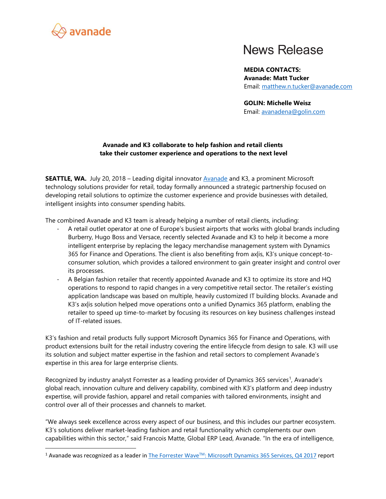

 $\overline{\phantom{a}}$ 

## **News Release**

**MEDIA CONTACTS: Avanade: Matt Tucker** Email: [matthew.n.tucker@avanade.com](mailto:matthew.n.tucker@avanade.com)

**GOLIN: Michelle Weisz** Email: [avanadena@golin.com](mailto:avanadena@golin.com)

## **Avanade and K3 collaborate to help fashion and retail clients take their customer experience and operations to the next level**

**SEATTLE, WA.** July 20, 2018 – Leading digital innovato[r Avanade](http://www.avanade.com/en) and K3, a prominent Microsoft technology solutions provider for retail, today formally announced a strategic partnership focused on developing retail solutions to optimize the customer experience and provide businesses with detailed, intelligent insights into consumer spending habits.

The combined Avanade and K3 team is already helping a number of retail clients, including:

- A retail outlet operator at one of Europe's busiest airports that works with global brands including Burberry, Hugo Boss and Versace, recently selected Avanade and K3 to help it become a more intelligent enterprise by replacing the legacy merchandise management system with Dynamics 365 for Finance and Operations. The client is also benefiting from ax|is, K3's unique concept-toconsumer solution, which provides a tailored environment to gain greater insight and control over its processes.
- A Belgian fashion retailer that recently appointed Avanade and K3 to optimize its store and HQ operations to respond to rapid changes in a very competitive retail sector. The retailer's existing application landscape was based on multiple, heavily customized IT building blocks. Avanade and K3's ax|is solution helped move operations onto a unified Dynamics 365 platform, enabling the retailer to speed up time-to-market by focusing its resources on key business challenges instead of IT-related issues.

K3's fashion and retail products fully support Microsoft Dynamics 365 for Finance and Operations, with product extensions built for the retail industry covering the entire lifecycle from design to sale. K3 will use its solution and subject matter expertise in the fashion and retail sectors to complement Avanade's expertise in this area for large enterprise clients.

Recognized by industry analyst Forrester as a leading provider of Dynamics 365 services<sup>1</sup>, Avanade's global reach, innovation culture and delivery capability, combined with K3's platform and deep industry expertise, will provide fashion, apparel and retail companies with tailored environments, insight and control over all of their processes and channels to market.

"We always seek excellence across every aspect of our business, and this includes our partner ecosystem. K3's solutions deliver market-leading fashion and retail functionality which complements our own capabilities within this sector," said Francois Matte, Global ERP Lead, Avanade. "In the era of intelligence,

<sup>&</sup>lt;sup>1</sup> Avanade was recognized as a leader in The Forrester Wave<sup>™</sup>[: Microsoft Dynamics 365 Services, Q4 2017](https://www.avanade.com/en/thinking/research-and-insights/forrester-wave-report) report